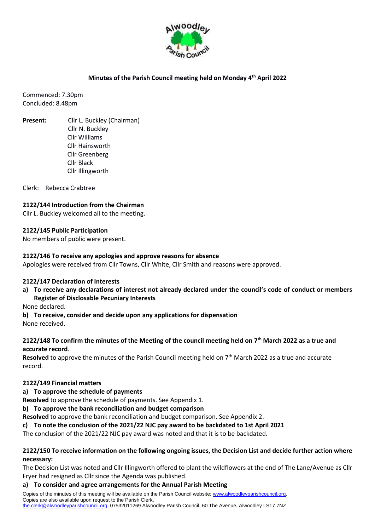

## **Minutes of the Parish Council meeting held on Monday 4th April 2022**

Commenced: 7.30pm Concluded: 8.48pm

**Present:** Cllr L. Buckley (Chairman) Cllr N. Buckley Cllr Williams Cllr Hainsworth Cllr Greenberg Cllr Black Cllr Illingworth

Clerk: Rebecca Crabtree

## **2122/144 Introduction from the Chairman**

Cllr L. Buckley welcomed all to the meeting.

#### **2122/145 Public Participation**

No members of public were present.

#### **2122/146 To receive any apologies and approve reasons for absence**

Apologies were received from Cllr Towns, Cllr White, Cllr Smith and reasons were approved.

#### **2122/147 Declaration of Interests**

**a) To receive any declarations of interest not already declared under the council's code of conduct or members Register of Disclosable Pecuniary Interests**

None declared.

**b) To receive, consider and decide upon any applications for dispensation** None received.

#### **2122/148 To confirm the minutes of the Meeting of the council meeting held on 7 th March 2022 as a true and accurate record**.

**Resolved** to approve the minutes of the Parish Council meeting held on 7th March 2022 as a true and accurate record.

#### **2122/149 Financial matters**

**a) To approve the schedule of payments** 

**Resolved** to approve the schedule of payments. See Appendix 1.

**b) To approve the bank reconciliation and budget comparison** 

**Resolved** to approve the bank reconciliation and budget comparison. See Appendix 2.

## **c) To note the conclusion of the 2021/22 NJC pay award to be backdated to 1st April 2021**

The conclusion of the 2021/22 NJC pay award was noted and that it is to be backdated.

#### **2122/150 To receive information on the following ongoing issues, the Decision List and decide further action where necessary:**

The Decision List was noted and Cllr Illingworth offered to plant the wildflowers at the end of The Lane/Avenue as Cllr Fryer had resigned as Cllr since the Agenda was published.

#### **a) To consider and agree arrangements for the Annual Parish Meeting**

Copies of the minutes of this meeting will be available on the Parish Council website: [www.alwoodleyparishcouncil.org.](http://www.alwoodleyparishcouncil.org/) Copies are also available upon request to the Parish Clerk, [the.clerk@alwoodleyparishcouncil.org](mailto:the.clerk@alwoodleyparishcouncil.org) 07532011269 Alwoodley Parish Council, 60 The Avenue, Alwoodley LS17 7NZ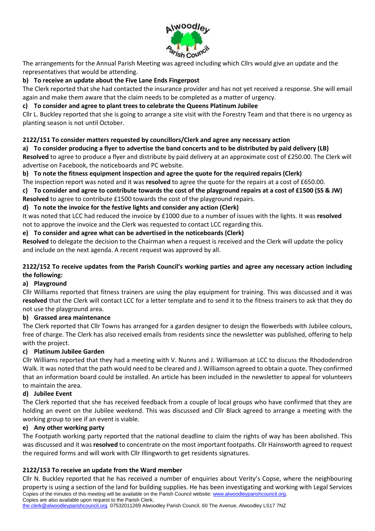

The arrangements for the Annual Parish Meeting was agreed including which Cllrs would give an update and the representatives that would be attending.

# **b) To receive an update about the Five Lane Ends Fingerpost**

The Clerk reported that she had contacted the insurance provider and has not yet received a response. She will email again and make them aware that the claim needs to be completed as a matter of urgency.

# **c) To consider and agree to plant trees to celebrate the Queens Platinum Jubilee**

Cllr L. Buckley reported that she is going to arrange a site visit with the Forestry Team and that there is no urgency as planting season is not until October.

## **2122/151 To consider matters requested by councillors/Clerk and agree any necessary action**

## **a) To consider producing a flyer to advertise the band concerts and to be distributed by paid delivery (LB)**

**Resolved** to agree to produce a flyer and distribute by paid delivery at an approximate cost of £250.00. The Clerk will advertise on Facebook, the noticeboards and PC website.

**b) To note the fitness equipment inspection and agree the quote for the required repairs (Clerk)** 

The inspection report was noted and it was **resolved** to agree the quote for the repairs at a cost of £650.00.

**c) To consider and agree to contribute towards the cost of the playground repairs at a cost of £1500 (SS & JW) Resolved** to agree to contribute £1500 towards the cost of the playground repairs.

## **d) To note the invoice for the festive lights and consider any action (Clerk)**

It was noted that LCC had reduced the invoice by £1000 due to a number of issues with the lights. It was **resolved**  not to approve the invoice and the Clerk was requested to contact LCC regarding this.

## **e) To consider and agree what can be advertised in the noticeboards (Clerk)**

**Resolved** to delegate the decision to the Chairman when a request is received and the Clerk will update the policy and include on the next agenda. A recent request was approved by all.

# **2122/152 To receive updates from the Parish Council's working parties and agree any necessary action including the following:**

## **a) Playground**

Cllr Williams reported that fitness trainers are using the play equipment for training. This was discussed and it was **resolved** that the Clerk will contact LCC for a letter template and to send it to the fitness trainers to ask that they do not use the playground area.

## **b) Grassed area maintenance**

The Clerk reported that Cllr Towns has arranged for a garden designer to design the flowerbeds with Jubilee colours, free of charge. The Clerk has also received emails from residents since the newsletter was published, offering to help with the project.

## **c) Platinum Jubilee Garden**

Cllr Williams reported that they had a meeting with V. Nunns and J. Williamson at LCC to discuss the Rhododendron Walk. It was noted that the path would need to be cleared and J. Williamson agreed to obtain a quote. They confirmed that an information board could be installed. An article has been included in the newsletter to appeal for volunteers to maintain the area.

## **d) Jubilee Event**

The Clerk reported that she has received feedback from a couple of local groups who have confirmed that they are holding an event on the Jubilee weekend. This was discussed and Cllr Black agreed to arrange a meeting with the working group to see if an event is viable.

## **e) Any other working party**

The Footpath working party reported that the national deadline to claim the rights of way has been abolished. This was discussed and it was **resolved** to concentrate on the most important footpaths. Cllr Hainsworth agreed to request the required forms and will work with Cllr Illingworth to get residents signatures.

## **2122/153 To receive an update from the Ward member**

Copies of the minutes of this meeting will be available on the Parish Council website: [www.alwoodleyparishcouncil.org.](http://www.alwoodleyparishcouncil.org/) Copies are also available upon request to the Parish Clerk, Cllr N. Buckley reported that he has received a number of enquiries about Verity's Copse, where the neighbouring property is using a section of the land for building supplies. He has been investigating and working with Legal Services

[the.clerk@alwoodleyparishcouncil.org](mailto:the.clerk@alwoodleyparishcouncil.org) 07532011269 Alwoodley Parish Council, 60 The Avenue, Alwoodley LS17 7NZ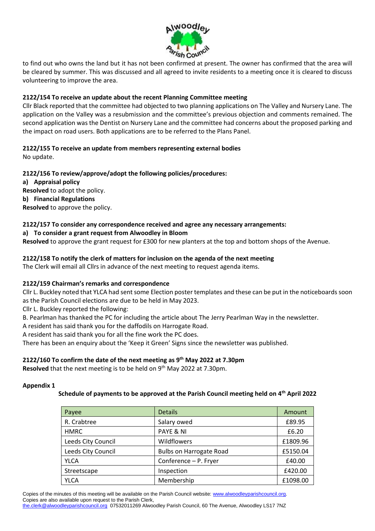

to find out who owns the land but it has not been confirmed at present. The owner has confirmed that the area will be cleared by summer. This was discussed and all agreed to invite residents to a meeting once it is cleared to discuss volunteering to improve the area.

## **2122/154 To receive an update about the recent Planning Committee meeting**

Cllr Black reported that the committee had objected to two planning applications on The Valley and Nursery Lane. The application on the Valley was a resubmission and the committee's previous objection and comments remained. The second application was the Dentist on Nursery Lane and the committee had concerns about the proposed parking and the impact on road users. Both applications are to be referred to the Plans Panel.

# **2122/155 To receive an update from members representing external bodies**

No update.

# **2122/156 To review/approve/adopt the following policies/procedures:**

**a) Appraisal policy Resolved** to adopt the policy. **b) Financial Regulations Resolved** to approve the policy.

# **2122/157 To consider any correspondence received and agree any necessary arrangements:**

# **a) To consider a grant request from Alwoodley in Bloom**

**Resolved** to approve the grant request for £300 for new planters at the top and bottom shops of the Avenue.

## **2122/158 To notify the clerk of matters for inclusion on the agenda of the next meeting**

The Clerk will email all Cllrs in advance of the next meeting to request agenda items.

## **2122/159 Chairman's remarks and correspondence**

Cllr L. Buckley noted that YLCA had sent some Election poster templates and these can be put in the noticeboards soon as the Parish Council elections are due to be held in May 2023.

Cllr L. Buckley reported the following:

B. Pearlman has thanked the PC for including the article about The Jerry Pearlman Way in the newsletter.

A resident has said thank you for the daffodils on Harrogate Road.

A resident has said thank you for all the fine work the PC does.

There has been an enquiry about the 'Keep it Green' Signs since the newsletter was published.

# **2122/160 To confirm the date of the next meeting as 9 th May 2022 at 7.30pm**

**Resolved** that the next meeting is to be held on 9<sup>th</sup> May 2022 at 7.30pm.

#### **Appendix 1**

## **Schedule of payments to be approved at the Parish Council meeting held on 4th April 2022**

| Payee              | <b>Details</b>                 | Amount   |
|--------------------|--------------------------------|----------|
| R. Crabtree        | Salary owed                    | £89.95   |
| <b>HMRC</b>        | PAYE & NI                      | £6.20    |
| Leeds City Council | Wildflowers                    | £1809.96 |
| Leeds City Council | <b>Bulbs on Harrogate Road</b> | £5150.04 |
| <b>YLCA</b>        | Conference - P. Fryer          | £40.00   |
| Streetscape        | Inspection                     | £420.00  |
| <b>YLCA</b>        | Membership                     | £1098.00 |

Copies of the minutes of this meeting will be available on the Parish Council website: [www.alwoodleyparishcouncil.org.](http://www.alwoodleyparishcouncil.org/) Copies are also available upon request to the Parish Clerk,

[the.clerk@alwoodleyparishcouncil.org](mailto:the.clerk@alwoodleyparishcouncil.org) 07532011269 Alwoodley Parish Council, 60 The Avenue, Alwoodley LS17 7NZ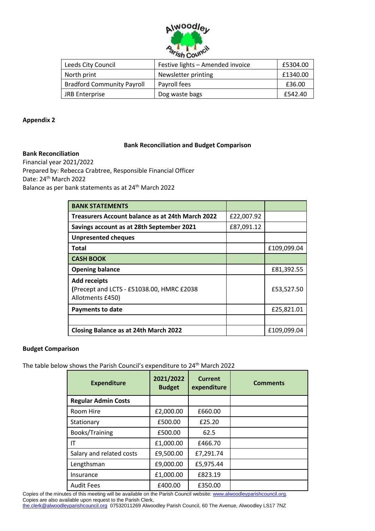

| Leeds City Council                | Festive lights - Amended invoice | £5304.00 |
|-----------------------------------|----------------------------------|----------|
| North print                       | Newsletter printing              | £1340.00 |
| <b>Bradford Community Payroll</b> | Payroll fees                     | £36.00   |
| JRB Enterprise                    | Dog waste bags                   | £542.40  |

#### **Appendix 2**

#### **Bank Reconciliation**

#### **Bank Reconciliation and Budget Comparison**

Financial year 2021/2022 Prepared by: Rebecca Crabtree, Responsible Financial Officer Date: 24<sup>th</sup> March 2022 Balance as per bank statements as at 24<sup>th</sup> March 2022

| <b>BANK STATEMENTS</b>                                                               |            |             |
|--------------------------------------------------------------------------------------|------------|-------------|
| Treasurers Account balance as at 24th March 2022                                     | £22,007.92 |             |
| Savings account as at 28th September 2021                                            | £87,091.12 |             |
| <b>Unpresented cheques</b>                                                           |            |             |
| Total                                                                                |            | £109,099.04 |
| <b>CASH BOOK</b>                                                                     |            |             |
| <b>Opening balance</b>                                                               |            | £81,392.55  |
| <b>Add receipts</b><br>(Precept and LCTS - £51038.00, HMRC £2038<br>Allotments £450) |            | £53,527.50  |
| <b>Payments to date</b>                                                              |            | £25,821.01  |
|                                                                                      |            |             |
| <b>Closing Balance as at 24th March 2022</b>                                         |            | £109,099.04 |

#### **Budget Comparison**

The table below shows the Parish Council's expenditure to 24<sup>th</sup> March 2022

| <b>Expenditure</b>         | 2021/2022<br><b>Budget</b> | <b>Current</b><br>expenditure | <b>Comments</b> |
|----------------------------|----------------------------|-------------------------------|-----------------|
| <b>Regular Admin Costs</b> |                            |                               |                 |
| Room Hire                  | £2,000.00                  | £660.00                       |                 |
| Stationary                 | £500.00                    | £25.20                        |                 |
| Books/Training             | £500.00                    | 62.5                          |                 |
| ΙT                         | £1,000.00                  | £466.70                       |                 |
| Salary and related costs   | £9,500.00                  | £7,291.74                     |                 |
| Lengthsman                 | £9,000.00                  | £5,975.44                     |                 |
| Insurance                  | £1,000.00                  | £823.19                       |                 |
| <b>Audit Fees</b>          | £400.00                    | £350.00                       |                 |

Copies of the minutes of this meeting will be available on the Parish Council website: [www.alwoodleyparishcouncil.org.](http://www.alwoodleyparishcouncil.org/) Copies are also available upon request to the Parish Clerk,

[the.clerk@alwoodleyparishcouncil.org](mailto:the.clerk@alwoodleyparishcouncil.org) 07532011269 Alwoodley Parish Council, 60 The Avenue, Alwoodley LS17 7NZ